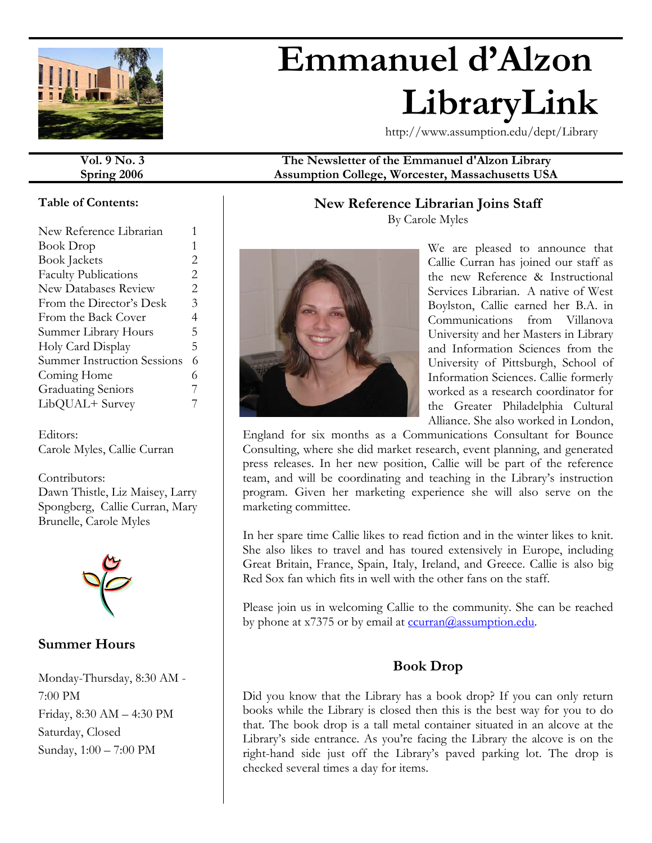

# **Emmanuel d'Alzon LibraryLink**

http://www.assumption.edu/dept/Library

# **Table of Contents:**

| New Reference Librarian            |   |
|------------------------------------|---|
| Book Drop                          | 1 |
| <b>Book Jackets</b>                | 2 |
| <b>Faculty Publications</b>        | 2 |
| <b>New Databases Review</b>        | 2 |
| From the Director's Desk           | 3 |
| From the Back Cover                | 4 |
| Summer Library Hours               | 5 |
| Holy Card Display                  | 5 |
| <b>Summer Instruction Sessions</b> | 6 |
| Coming Home                        | 6 |
| <b>Graduating Seniors</b>          | 7 |
| LibQUAL+ Survey                    |   |
|                                    |   |

Editors: Carole Myles, Callie Curran

Contributors: Dawn Thistle, Liz Maisey, Larry Spongberg, Callie Curran, Mary Brunelle, Carole Myles



# **Summer Hours**

Monday-Thursday, 8:30 AM - 7:00 PM Friday, 8:30 AM – 4:30 PM Saturday, Closed Sunday, 1:00 – 7:00 PM

## **Vol. 9 No. 3 The Newsletter of the Emmanuel d'Alzon Library Spring 2006 Assumption College, Worcester, Massachusetts USA**

# **New Reference Librarian Joins Staff**

By Carole Myles



We are pleased to announce that Callie Curran has joined our staff as the new Reference & Instructional Services Librarian. A native of West Boylston, Callie earned her B.A. in Communications from Villanova University and her Masters in Library and Information Sciences from the University of Pittsburgh, School of Information Sciences. Callie formerly worked as a research coordinator for the Greater Philadelphia Cultural Alliance. She also worked in London,

England for six months as a Communications Consultant for Bounce Consulting, where she did market research, event planning, and generated press releases. In her new position, Callie will be part of the reference team, and will be coordinating and teaching in the Library's instruction program. Given her marketing experience she will also serve on the marketing committee.

In her spare time Callie likes to read fiction and in the winter likes to knit. She also likes to travel and has toured extensively in Europe, including Great Britain, France, Spain, Italy, Ireland, and Greece. Callie is also big Red Sox fan which fits in well with the other fans on the staff.

Please join us in welcoming Callie to the community. She can be reached by phone at x7375 or by email at courran@assumption.edu.

# **Book Drop**

Did you know that the Library has a book drop? If you can only return books while the Library is closed then this is the best way for you to do that. The book drop is a tall metal container situated in an alcove at the Library's side entrance. As you're facing the Library the alcove is on the right-hand side just off the Library's paved parking lot. The drop is checked several times a day for items.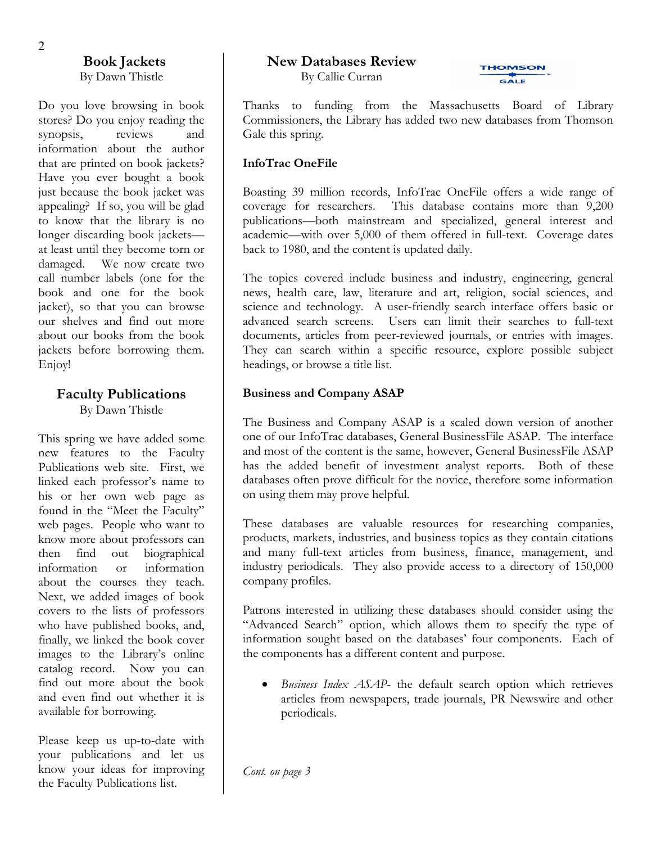## **Book Jackets**  By Dawn Thistle

Do you love browsing in book stores? Do you enjoy reading the synopsis, reviews and information about the author that are printed on book jackets? Have you ever bought a book just because the book jacket was appealing? If so, you will be glad to know that the library is no longer discarding book jackets at least until they become torn or damaged. We now create two call number labels (one for the book and one for the book jacket), so that you can browse our shelves and find out more about our books from the book jackets before borrowing them. Enjoy!

# **Faculty Publications**

By Dawn Thistle

This spring we have added some new features to the Faculty Publications web site. First, we linked each professor's name to his or her own web page as found in the "Meet the Faculty" web pages. People who want to know more about professors can then find out biographical information or information about the courses they teach. Next, we added images of book covers to the lists of professors who have published books, and, finally, we linked the book cover images to the Library's online catalog record. Now you can find out more about the book and even find out whether it is available for borrowing.

Please keep us up-to-date with your publications and let us know your ideas for improving the Faculty Publications list.

# **New Databases Review**

By Callie Curran

**THOMSON**  $6015$ 

Thanks to funding from the Massachusetts Board of Library Commissioners, the Library has added two new databases from Thomson Gale this spring.

# **InfoTrac OneFile**

Boasting 39 million records, InfoTrac OneFile offers a wide range of coverage for researchers. This database contains more than 9,200 publications—both mainstream and specialized, general interest and academic—with over 5,000 of them offered in full-text. Coverage dates back to 1980, and the content is updated daily.

The topics covered include business and industry, engineering, general news, health care, law, literature and art, religion, social sciences, and science and technology. A user-friendly search interface offers basic or advanced search screens. Users can limit their searches to full-text documents, articles from peer-reviewed journals, or entries with images. They can search within a specific resource, explore possible subject headings, or browse a title list.

# **Business and Company ASAP**

The Business and Company ASAP is a scaled down version of another one of our InfoTrac databases, General BusinessFile ASAP. The interface and most of the content is the same, however, General BusinessFile ASAP has the added benefit of investment analyst reports. Both of these databases often prove difficult for the novice, therefore some information on using them may prove helpful.

These databases are valuable resources for researching companies, products, markets, industries, and business topics as they contain citations and many full-text articles from business, finance, management, and industry periodicals. They also provide access to a directory of 150,000 company profiles.

Patrons interested in utilizing these databases should consider using the "Advanced Search" option, which allows them to specify the type of information sought based on the databases' four components. Each of the components has a different content and purpose.

• *Business Index ASAP*- the default search option which retrieves articles from newspapers, trade journals, PR Newswire and other periodicals.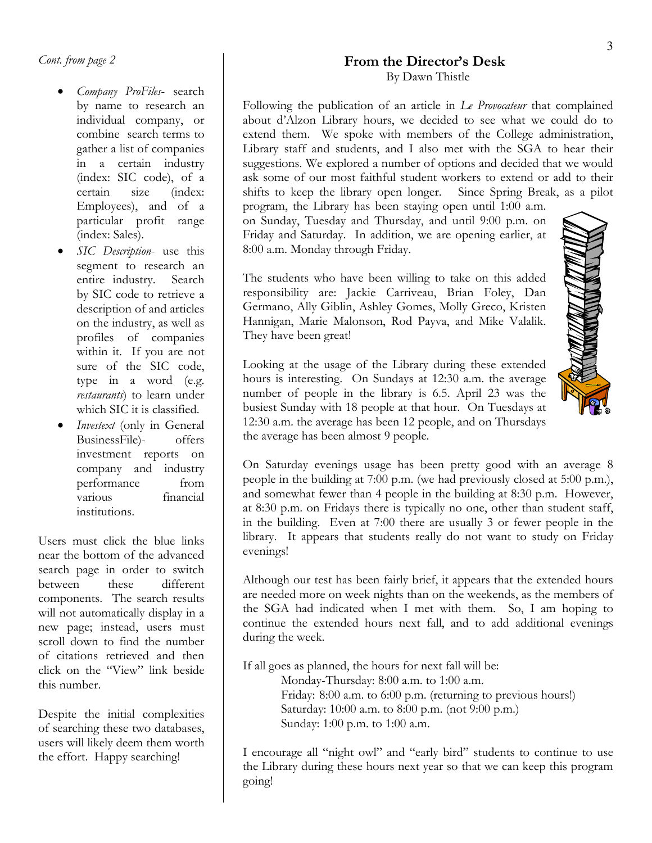*Cont. from page 2*

- *Company ProFiles* search by name to research an individual company, or combine search terms to gather a list of companies in a certain industry (index: SIC code), of a certain size (index: Employees), and of a particular profit range (index: Sales).
- *SIC Description* use this segment to research an entire industry. Search by SIC code to retrieve a description of and articles on the industry, as well as profiles of companies within it. If you are not sure of the SIC code, type in a word (e.g. *restaurants*) to learn under which SIC it is classified.
- *Investext* (only in General BusinessFile)- offers investment reports on company and industry performance from various financial institutions.

Users must click the blue links near the bottom of the advanced search page in order to switch<br>between these different between these different components. The search results will not automatically display in a new page; instead, users must scroll down to find the number of citations retrieved and then click on the "View" link beside this number.

Despite the initial complexities of searching these two databases, users will likely deem them worth the effort. Happy searching!

# **From the Director's Desk**  By Dawn Thistle

Following the publication of an article in *Le Provocateur* that complained about d'Alzon Library hours, we decided to see what we could do to extend them. We spoke with members of the College administration, Library staff and students, and I also met with the SGA to hear their suggestions. We explored a number of options and decided that we would ask some of our most faithful student workers to extend or add to their shifts to keep the library open longer. Since Spring Break, as a pilot program, the Library has been staying open until 1:00 a.m.

on Sunday, Tuesday and Thursday, and until 9:00 p.m. on Friday and Saturday. In addition, we are opening earlier, at 8:00 a.m. Monday through Friday.

The students who have been willing to take on this added responsibility are: Jackie Carriveau, Brian Foley, Dan Germano, Ally Giblin, Ashley Gomes, Molly Greco, Kristen Hannigan, Marie Malonson, Rod Payva, and Mike Valalik. They have been great!

Looking at the usage of the Library during these extended hours is interesting. On Sundays at 12:30 a.m. the average number of people in the library is 6.5. April 23 was the busiest Sunday with 18 people at that hour. On Tuesdays at 12:30 a.m. the average has been 12 people, and on Thursdays the average has been almost 9 people.



On Saturday evenings usage has been pretty good with an average 8 people in the building at 7:00 p.m. (we had previously closed at 5:00 p.m.), and somewhat fewer than 4 people in the building at 8:30 p.m. However, at 8:30 p.m. on Fridays there is typically no one, other than student staff, in the building. Even at 7:00 there are usually 3 or fewer people in the library. It appears that students really do not want to study on Friday evenings!

Although our test has been fairly brief, it appears that the extended hours are needed more on week nights than on the weekends, as the members of the SGA had indicated when I met with them. So, I am hoping to continue the extended hours next fall, and to add additional evenings during the week.

If all goes as planned, the hours for next fall will be:

Monday-Thursday: 8:00 a.m. to 1:00 a.m. Friday: 8:00 a.m. to 6:00 p.m. (returning to previous hours!) Saturday: 10:00 a.m. to 8:00 p.m. (not 9:00 p.m.) Sunday: 1:00 p.m. to 1:00 a.m.

I encourage all "night owl" and "early bird" students to continue to use the Library during these hours next year so that we can keep this program going!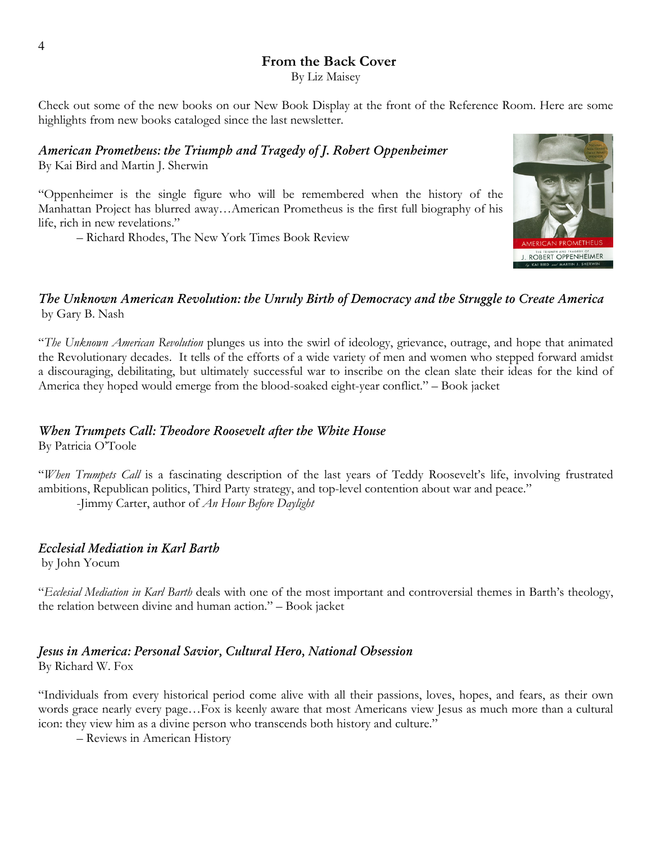# **From the Back Cover**

By Liz Maisey

Check out some of the new books on our New Book Display at the front of the Reference Room. Here are some highlights from new books cataloged since the last newsletter.

*American Prometheus: the Triumph and Tragedy of J. Robert Oppenheimer*  By Kai Bird and Martin J. Sherwin

"Oppenheimer is the single figure who will be remembered when the history of the Manhattan Project has blurred away…American Prometheus is the first full biography of his life, rich in new revelations."

– Richard Rhodes, The New York Times Book Review



# *The Unknown American Revolution: the Unruly Birth of Democracy and the Struggle to Create America*  by Gary B. Nash

"*The Unknown American Revolution* plunges us into the swirl of ideology, grievance, outrage, and hope that animated the Revolutionary decades. It tells of the efforts of a wide variety of men and women who stepped forward amidst a discouraging, debilitating, but ultimately successful war to inscribe on the clean slate their ideas for the kind of America they hoped would emerge from the blood-soaked eight-year conflict." – Book jacket

# *When Trumpets Call: Theodore Roosevelt after the White House*

By Patricia O'Toole

"*When Trumpets Call* is a fascinating description of the last years of Teddy Roosevelt's life, involving frustrated ambitions, Republican politics, Third Party strategy, and top-level contention about war and peace."

-Jimmy Carter, author of *An Hour Before Daylight* 

# *Ecclesial Mediation in Karl Barth*

by John Yocum

"*Ecclesial Mediation in Karl Barth* deals with one of the most important and controversial themes in Barth's theology, the relation between divine and human action." – Book jacket

# *Jesus in America: Personal Savior, Cultural Hero, National Obsession*

By Richard W. Fox

"Individuals from every historical period come alive with all their passions, loves, hopes, and fears, as their own words grace nearly every page…Fox is keenly aware that most Americans view Jesus as much more than a cultural icon: they view him as a divine person who transcends both history and culture."

– Reviews in American History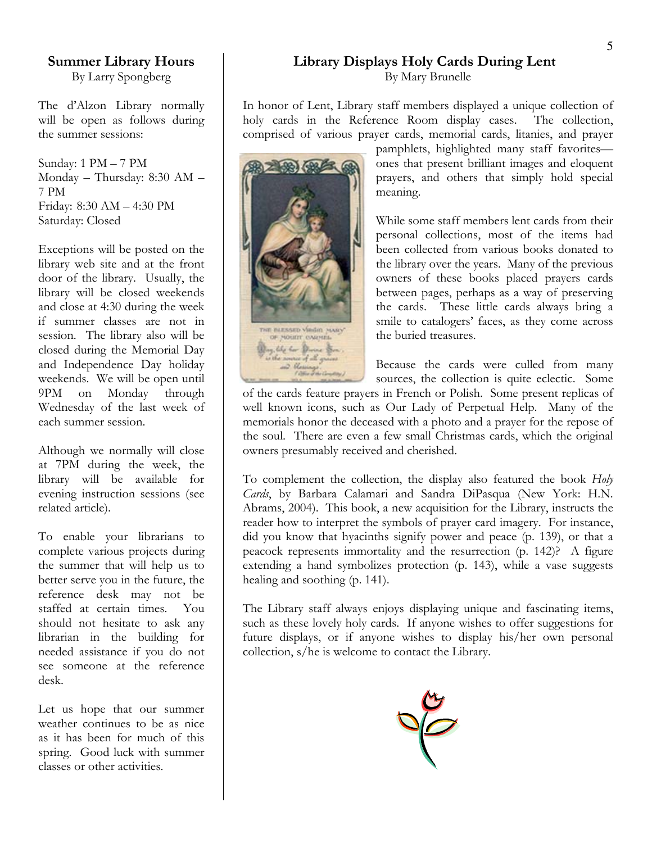# **Summer Library Hours**

By Larry Spongberg

The d'Alzon Library normally will be open as follows during the summer sessions:

Sunday: 1 PM – 7 PM Monday – Thursday: 8:30 AM – 7 PM Friday: 8:30 AM – 4:30 PM Saturday: Closed

Exceptions will be posted on the library web site and at the front door of the library. Usually, the library will be closed weekends and close at 4:30 during the week if summer classes are not in session. The library also will be closed during the Memorial Day and Independence Day holiday weekends. We will be open until 9PM on Monday through Wednesday of the last week of each summer session.

Although we normally will close at 7PM during the week, the library will be available for evening instruction sessions (see related article).

To enable your librarians to complete various projects during the summer that will help us to better serve you in the future, the reference desk may not be staffed at certain times. You should not hesitate to ask any librarian in the building for needed assistance if you do not see someone at the reference desk.

Let us hope that our summer weather continues to be as nice as it has been for much of this spring. Good luck with summer classes or other activities.

# **Library Displays Holy Cards During Lent**

By Mary Brunelle

In honor of Lent, Library staff members displayed a unique collection of holy cards in the Reference Room display cases. The collection, comprised of various prayer cards, memorial cards, litanies, and prayer



pamphlets, highlighted many staff favorites ones that present brilliant images and eloquent prayers, and others that simply hold special meaning.

While some staff members lent cards from their personal collections, most of the items had been collected from various books donated to the library over the years. Many of the previous owners of these books placed prayers cards between pages, perhaps as a way of preserving the cards. These little cards always bring a smile to catalogers' faces, as they come across the buried treasures.

Because the cards were culled from many sources, the collection is quite eclectic. Some

of the cards feature prayers in French or Polish. Some present replicas of well known icons, such as Our Lady of Perpetual Help. Many of the memorials honor the deceased with a photo and a prayer for the repose of the soul. There are even a few small Christmas cards, which the original owners presumably received and cherished.

To complement the collection, the display also featured the book *Holy Cards*, by Barbara Calamari and Sandra DiPasqua (New York: H.N. Abrams, 2004). This book, a new acquisition for the Library, instructs the reader how to interpret the symbols of prayer card imagery. For instance, did you know that hyacinths signify power and peace (p. 139), or that a peacock represents immortality and the resurrection (p. 142)? A figure extending a hand symbolizes protection (p. 143), while a vase suggests healing and soothing (p. 141).

The Library staff always enjoys displaying unique and fascinating items, such as these lovely holy cards. If anyone wishes to offer suggestions for future displays, or if anyone wishes to display his/her own personal collection, s/he is welcome to contact the Library.

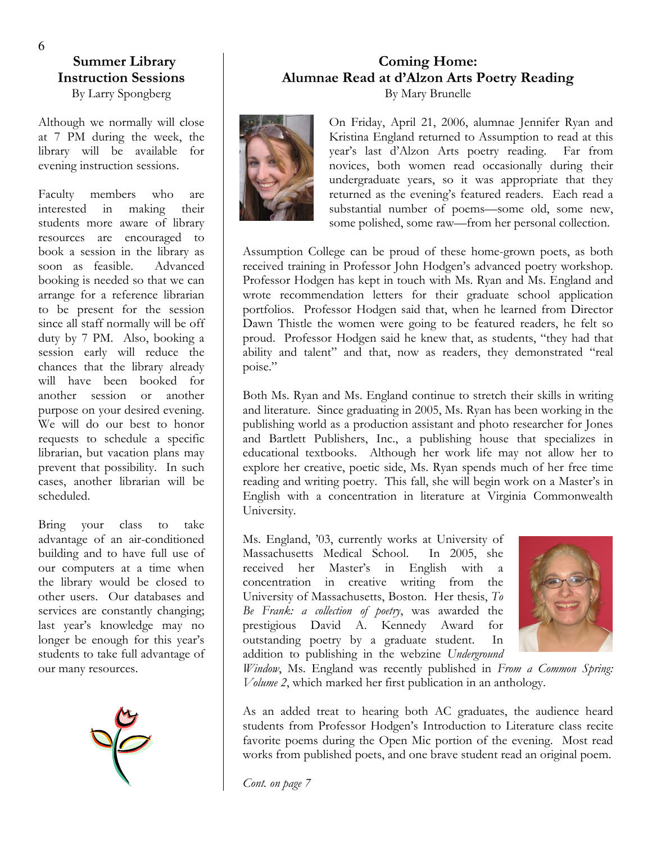# **Summer Library Instruction Sessions**

By Larry Spongberg

Although we normally will close at 7 PM during the week, the library will be available for evening instruction sessions.

Faculty members who are interested in making their students more aware of library resources are encouraged to book a session in the library as soon as feasible. Advanced booking is needed so that we can arrange for a reference librarian to be present for the session since all staff normally will be off duty by 7 PM. Also, booking a session early will reduce the chances that the library already will have been booked for another session or another purpose on your desired evening. We will do our best to honor requests to schedule a specific librarian, but vacation plans may prevent that possibility. In such cases, another librarian will be scheduled.

Bring your class to take advantage of an air-conditioned building and to have full use of our computers at a time when the library would be closed to other users. Our databases and services are constantly changing; last year's knowledge may no longer be enough for this year's students to take full advantage of our many resources.



# **Coming Home: Alumnae Read at d'Alzon Arts Poetry Reading**  By Mary Brunelle



On Friday, April 21, 2006, alumnae Jennifer Ryan and Kristina England returned to Assumption to read at this year's last d'Alzon Arts poetry reading. Far from novices, both women read occasionally during their undergraduate years, so it was appropriate that they returned as the evening's featured readers. Each read a substantial number of poems—some old, some new, some polished, some raw—from her personal collection.

Assumption College can be proud of these home-grown poets, as both received training in Professor John Hodgen's advanced poetry workshop. Professor Hodgen has kept in touch with Ms. Ryan and Ms. England and wrote recommendation letters for their graduate school application portfolios. Professor Hodgen said that, when he learned from Director Dawn Thistle the women were going to be featured readers, he felt so proud. Professor Hodgen said he knew that, as students, "they had that ability and talent" and that, now as readers, they demonstrated "real poise."

Both Ms. Ryan and Ms. England continue to stretch their skills in writing and literature. Since graduating in 2005, Ms. Ryan has been working in the publishing world as a production assistant and photo researcher for Jones and Bartlett Publishers, Inc., a publishing house that specializes in educational textbooks. Although her work life may not allow her to explore her creative, poetic side, Ms. Ryan spends much of her free time reading and writing poetry. This fall, she will begin work on a Master's in English with a concentration in literature at Virginia Commonwealth University.

Ms. England, '03, currently works at University of Massachusetts Medical School. In 2005, she received her Master's in English with a concentration in creative writing from the University of Massachusetts, Boston. Her thesis, *To Be Frank: a collection of poetry*, was awarded the prestigious David A. Kennedy Award for outstanding poetry by a graduate student. In addition to publishing in the webzine *Underground*



*Window*, Ms. England was recently published in *From a Common Spring: Volume 2*, which marked her first publication in an anthology.

As an added treat to hearing both AC graduates, the audience heard students from Professor Hodgen's Introduction to Literature class recite favorite poems during the Open Mic portion of the evening. Most read works from published poets, and one brave student read an original poem.

*Cont. on page 7*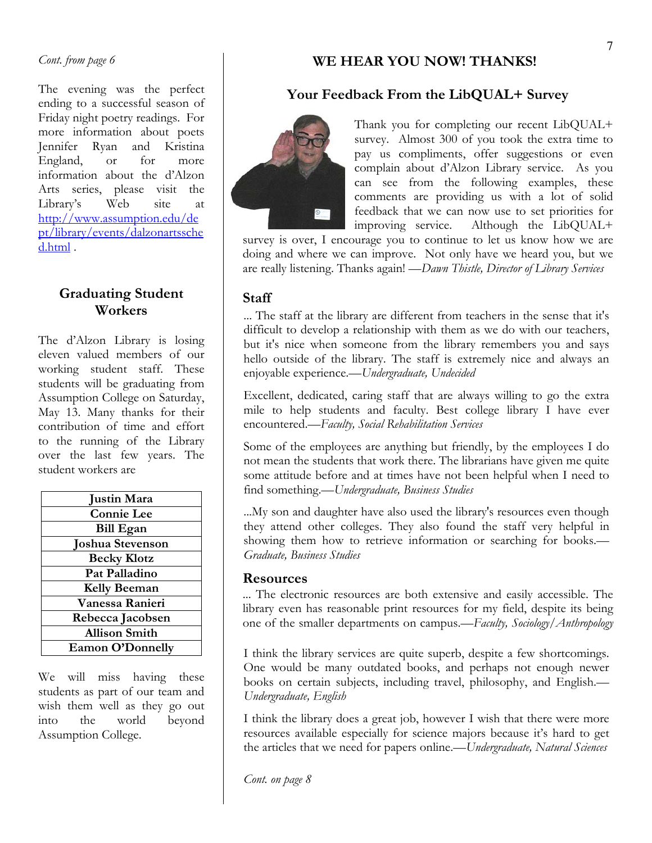#### *Cont. from page 6*

The evening was the perfect ending to a successful season of Friday night poetry readings. For more information about poets Jennifer Ryan and Kristina England, or for more information about the d'Alzon Arts series, please visit the Library's Web site at [http://www.assumption.edu/de](http://www.assumption.edu/dept/library/events/dalzonartssched.html) [pt/library/events/dalzonartssche](http://www.assumption.edu/dept/library/events/dalzonartssched.html) [d.html](http://www.assumption.edu/dept/library/events/dalzonartssched.html) .

# **Graduating Student Workers**

The d'Alzon Library is losing eleven valued members of our working student staff. These students will be graduating from Assumption College on Saturday, May 13. Many thanks for their contribution of time and effort to the running of the Library over the last few years. The student workers are

| <b>Justin Mara</b>      |
|-------------------------|
| <b>Connie Lee</b>       |
| <b>Bill Egan</b>        |
| <b>Joshua Stevenson</b> |
| <b>Becky Klotz</b>      |
| Pat Palladino           |
| <b>Kelly Beeman</b>     |
| Vanessa Ranieri         |
| Rebecca Jacobsen        |
| <b>Allison Smith</b>    |
| <b>Eamon O'Donnelly</b> |
|                         |

We will miss having these students as part of our team and wish them well as they go out into the world beyond Assumption College.

# **WE HEAR YOU NOW! THANKS!**

# **Your Feedback From the LibQUAL+ Survey**



Thank you for completing our recent LibQUAL+ survey. Almost 300 of you took the extra time to pay us compliments, offer suggestions or even complain about d'Alzon Library service. As you can see from the following examples, these comments are providing us with a lot of solid feedback that we can now use to set priorities for<br>improving service. Although the LibQUAL+ Although the LibQUAL+

survey is over, I encourage you to continue to let us know how we are doing and where we can improve. Not only have we heard you, but we are really listening. Thanks again! —*Dawn Thistle, Director of Library Services* 

# **Staff**

... The staff at the library are different from teachers in the sense that it's difficult to develop a relationship with them as we do with our teachers, but it's nice when someone from the library remembers you and says hello outside of the library. The staff is extremely nice and always an enjoyable experience.—*Undergraduate, Undecided*

Excellent, dedicated, caring staff that are always willing to go the extra mile to help students and faculty. Best college library I have ever encountered.—*Faculty, Social Rehabilitation Services* 

Some of the employees are anything but friendly, by the employees I do not mean the students that work there. The librarians have given me quite some attitude before and at times have not been helpful when I need to find something.—*Undergraduate, Business Studies*

...My son and daughter have also used the library's resources even though they attend other colleges. They also found the staff very helpful in showing them how to retrieve information or searching for books.— *Graduate, Business Studies* 

# **Resources**

... The electronic resources are both extensive and easily accessible. The library even has reasonable print resources for my field, despite its being one of the smaller departments on campus.—*Faculty, Sociology/Anthropology* 

I think the library services are quite superb, despite a few shortcomings. One would be many outdated books, and perhaps not enough newer books on certain subjects, including travel, philosophy, and English.— *Undergraduate, English*

I think the library does a great job, however I wish that there were more resources available especially for science majors because it's hard to get the articles that we need for papers online.—*Undergraduate, Natural Sciences*